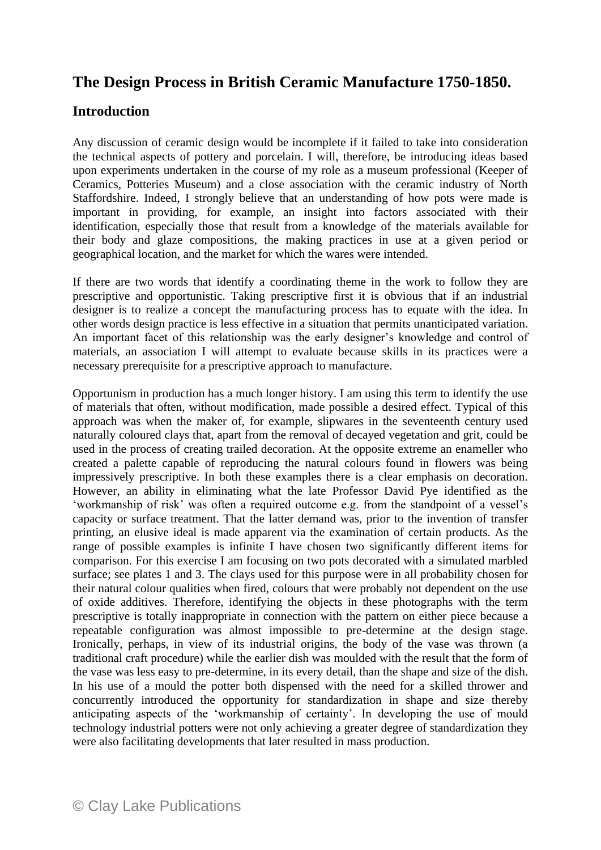## **The Design Process in British Ceramic Manufacture 1750-1850.**

## **Introduction**

Any discussion of ceramic design would be incomplete if it failed to take into consideration the technical aspects of pottery and porcelain. I will, therefore, be introducing ideas based upon experiments undertaken in the course of my role as a museum professional (Keeper of Ceramics, Potteries Museum) and a close association with the ceramic industry of North Staffordshire. Indeed, I strongly believe that an understanding of how pots were made is important in providing, for example, an insight into factors associated with their identification, especially those that result from a knowledge of the materials available for their body and glaze compositions, the making practices in use at a given period or geographical location, and the market for which the wares were intended.

If there are two words that identify a coordinating theme in the work to follow they are prescriptive and opportunistic. Taking prescriptive first it is obvious that if an industrial designer is to realize a concept the manufacturing process has to equate with the idea. In other words design practice is less effective in a situation that permits unanticipated variation. An important facet of this relationship was the early designer's knowledge and control of materials, an association I will attempt to evaluate because skills in its practices were a necessary prerequisite for a prescriptive approach to manufacture.

Opportunism in production has a much longer history. I am using this term to identify the use of materials that often, without modification, made possible a desired effect. Typical of this approach was when the maker of, for example, slipwares in the seventeenth century used naturally coloured clays that, apart from the removal of decayed vegetation and grit, could be used in the process of creating trailed decoration. At the opposite extreme an enameller who created a palette capable of reproducing the natural colours found in flowers was being impressively prescriptive. In both these examples there is a clear emphasis on decoration. However, an ability in eliminating what the late Professor David Pye identified as the 'workmanship of risk' was often a required outcome e.g. from the standpoint of a vessel's capacity or surface treatment. That the latter demand was, prior to the invention of transfer printing, an elusive ideal is made apparent via the examination of certain products. As the range of possible examples is infinite I have chosen two significantly different items for comparison. For this exercise I am focusing on two pots decorated with a simulated marbled surface; see plates 1 and 3. The clays used for this purpose were in all probability chosen for their natural colour qualities when fired, colours that were probably not dependent on the use of oxide additives. Therefore, identifying the objects in these photographs with the term prescriptive is totally inappropriate in connection with the pattern on either piece because a repeatable configuration was almost impossible to pre-determine at the design stage. Ironically, perhaps, in view of its industrial origins, the body of the vase was thrown (a traditional craft procedure) while the earlier dish was moulded with the result that the form of the vase was less easy to pre-determine, in its every detail, than the shape and size of the dish. In his use of a mould the potter both dispensed with the need for a skilled thrower and concurrently introduced the opportunity for standardization in shape and size thereby anticipating aspects of the 'workmanship of certainty'. In developing the use of mould technology industrial potters were not only achieving a greater degree of standardization they were also facilitating developments that later resulted in mass production.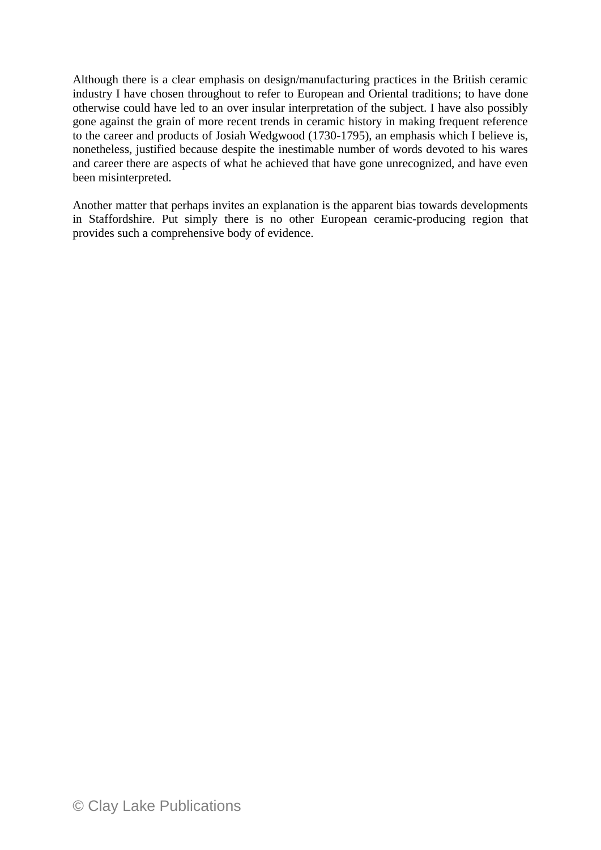Although there is a clear emphasis on design/manufacturing practices in the British ceramic industry I have chosen throughout to refer to European and Oriental traditions; to have done otherwise could have led to an over insular interpretation of the subject. I have also possibly gone against the grain of more recent trends in ceramic history in making frequent reference to the career and products of Josiah Wedgwood (1730-1795), an emphasis which I believe is, nonetheless, justified because despite the inestimable number of words devoted to his wares and career there are aspects of what he achieved that have gone unrecognized, and have even been misinterpreted.

Another matter that perhaps invites an explanation is the apparent bias towards developments in Staffordshire. Put simply there is no other European ceramic-producing region that provides such a comprehensive body of evidence.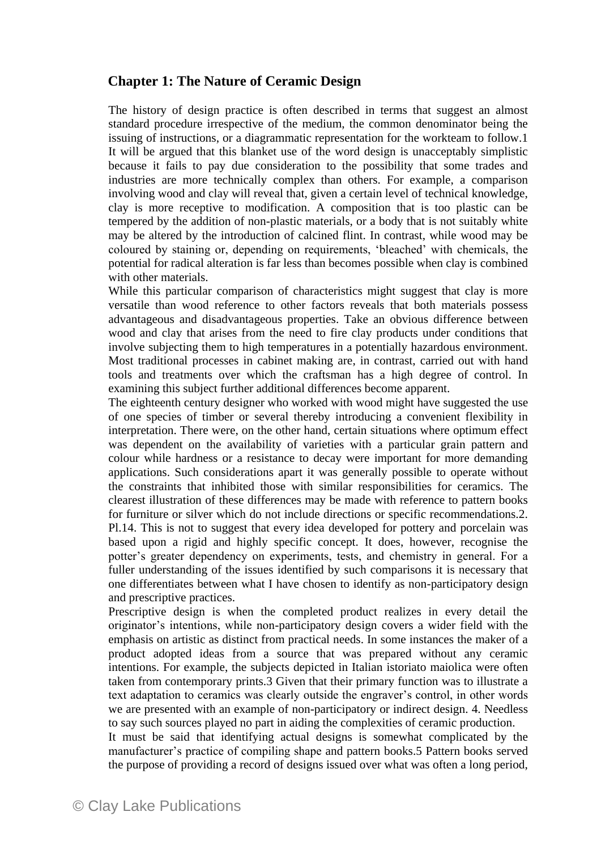## **Chapter 1: The Nature of Ceramic Design**

The history of design practice is often described in terms that suggest an almost standard procedure irrespective of the medium, the common denominator being the issuing of instructions, or a diagrammatic representation for the workteam to follow.1 It will be argued that this blanket use of the word design is unacceptably simplistic because it fails to pay due consideration to the possibility that some trades and industries are more technically complex than others. For example, a comparison involving wood and clay will reveal that, given a certain level of technical knowledge, clay is more receptive to modification. A composition that is too plastic can be tempered by the addition of non-plastic materials, or a body that is not suitably white may be altered by the introduction of calcined flint. In contrast, while wood may be coloured by staining or, depending on requirements, 'bleached' with chemicals, the potential for radical alteration is far less than becomes possible when clay is combined with other materials.

While this particular comparison of characteristics might suggest that clay is more versatile than wood reference to other factors reveals that both materials possess advantageous and disadvantageous properties. Take an obvious difference between wood and clay that arises from the need to fire clay products under conditions that involve subjecting them to high temperatures in a potentially hazardous environment. Most traditional processes in cabinet making are, in contrast, carried out with hand tools and treatments over which the craftsman has a high degree of control. In examining this subject further additional differences become apparent.

The eighteenth century designer who worked with wood might have suggested the use of one species of timber or several thereby introducing a convenient flexibility in interpretation. There were, on the other hand, certain situations where optimum effect was dependent on the availability of varieties with a particular grain pattern and colour while hardness or a resistance to decay were important for more demanding applications. Such considerations apart it was generally possible to operate without the constraints that inhibited those with similar responsibilities for ceramics. The clearest illustration of these differences may be made with reference to pattern books for furniture or silver which do not include directions or specific recommendations.2. Pl.14. This is not to suggest that every idea developed for pottery and porcelain was based upon a rigid and highly specific concept. It does, however, recognise the potter's greater dependency on experiments, tests, and chemistry in general. For a fuller understanding of the issues identified by such comparisons it is necessary that one differentiates between what I have chosen to identify as non-participatory design and prescriptive practices.

Prescriptive design is when the completed product realizes in every detail the originator's intentions, while non-participatory design covers a wider field with the emphasis on artistic as distinct from practical needs. In some instances the maker of a product adopted ideas from a source that was prepared without any ceramic intentions. For example, the subjects depicted in Italian istoriato maiolica were often taken from contemporary prints.3 Given that their primary function was to illustrate a text adaptation to ceramics was clearly outside the engraver's control, in other words we are presented with an example of non-participatory or indirect design. 4. Needless to say such sources played no part in aiding the complexities of ceramic production.

It must be said that identifying actual designs is somewhat complicated by the manufacturer's practice of compiling shape and pattern books.5 Pattern books served the purpose of providing a record of designs issued over what was often a long period,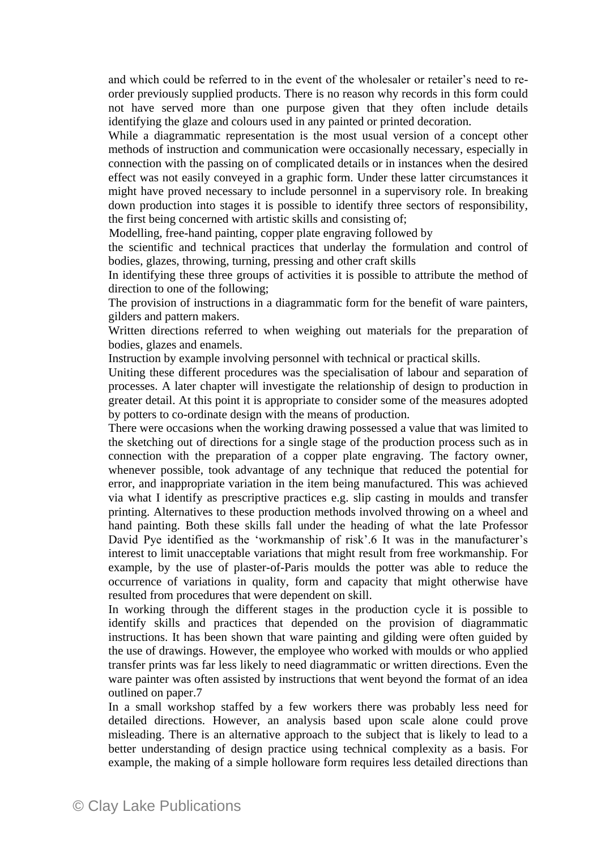and which could be referred to in the event of the wholesaler or retailer's need to reorder previously supplied products. There is no reason why records in this form could not have served more than one purpose given that they often include details identifying the glaze and colours used in any painted or printed decoration.

While a diagrammatic representation is the most usual version of a concept other methods of instruction and communication were occasionally necessary, especially in connection with the passing on of complicated details or in instances when the desired effect was not easily conveyed in a graphic form. Under these latter circumstances it might have proved necessary to include personnel in a supervisory role. In breaking down production into stages it is possible to identify three sectors of responsibility, the first being concerned with artistic skills and consisting of;

Modelling, free-hand painting, copper plate engraving followed by

the scientific and technical practices that underlay the formulation and control of bodies, glazes, throwing, turning, pressing and other craft skills

In identifying these three groups of activities it is possible to attribute the method of direction to one of the following;

The provision of instructions in a diagrammatic form for the benefit of ware painters, gilders and pattern makers.

Written directions referred to when weighing out materials for the preparation of bodies, glazes and enamels.

Instruction by example involving personnel with technical or practical skills.

Uniting these different procedures was the specialisation of labour and separation of processes. A later chapter will investigate the relationship of design to production in greater detail. At this point it is appropriate to consider some of the measures adopted by potters to co-ordinate design with the means of production.

There were occasions when the working drawing possessed a value that was limited to the sketching out of directions for a single stage of the production process such as in connection with the preparation of a copper plate engraving. The factory owner, whenever possible, took advantage of any technique that reduced the potential for error, and inappropriate variation in the item being manufactured. This was achieved via what I identify as prescriptive practices e.g. slip casting in moulds and transfer printing. Alternatives to these production methods involved throwing on a wheel and hand painting. Both these skills fall under the heading of what the late Professor David Pye identified as the 'workmanship of risk'.6 It was in the manufacturer's interest to limit unacceptable variations that might result from free workmanship. For example, by the use of plaster-of-Paris moulds the potter was able to reduce the occurrence of variations in quality, form and capacity that might otherwise have resulted from procedures that were dependent on skill.

In working through the different stages in the production cycle it is possible to identify skills and practices that depended on the provision of diagrammatic instructions. It has been shown that ware painting and gilding were often guided by the use of drawings. However, the employee who worked with moulds or who applied transfer prints was far less likely to need diagrammatic or written directions. Even the ware painter was often assisted by instructions that went beyond the format of an idea outlined on paper.7

In a small workshop staffed by a few workers there was probably less need for detailed directions. However, an analysis based upon scale alone could prove misleading. There is an alternative approach to the subject that is likely to lead to a better understanding of design practice using technical complexity as a basis. For example, the making of a simple holloware form requires less detailed directions than